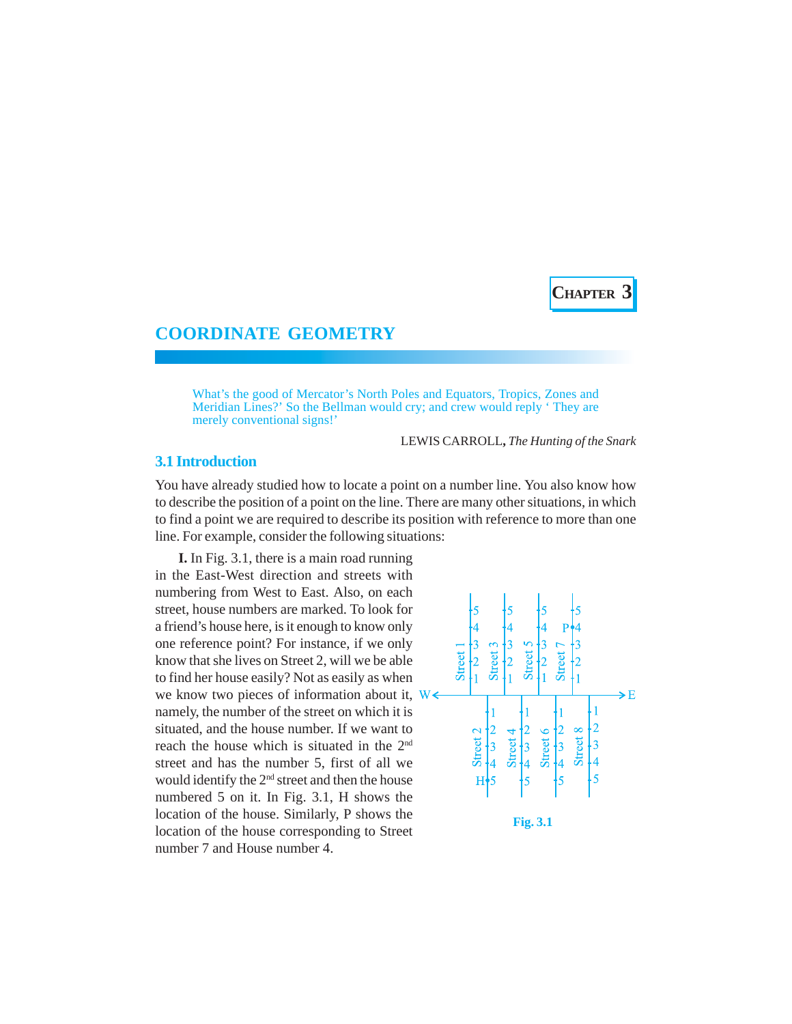**CHAPTER 3**

# **COORDINATE GEOMETRY**

What's the good of Mercator's North Poles and Equators, Tropics, Zones and Meridian Lines?' So the Bellman would cry; and crew would reply ' They are merely conventional signs!'

LEWIS CARROLL**,** *The Hunting of the Snark*

## **3.1 Introduction**

You have already studied how to locate a point on a number line. You also know how to describe the position of a point on the line. There are many other situations, in which to find a point we are required to describe its position with reference to more than one line. For example, consider the following situations:

**I.** In Fig. 3.1, there is a main road running in the East-West direction and streets with numbering from West to East. Also, on each street, house numbers are marked. To look for a friend's house here, is it enough to know only one reference point? For instance, if we only know that she lives on Street 2, will we be able to find her house easily? Not as easily as when we know two pieces of information about it,  $W \leftarrow$ namely, the number of the street on which it is situated, and the house number. If we want to reach the house which is situated in the 2nd street and has the number 5, first of all we would identify the 2<sup>nd</sup> street and then the house numbered 5 on it. In Fig. 3.1, H shows the location of the house. Similarly, P shows the location of the house corresponding to Street number 7 and House number 4.

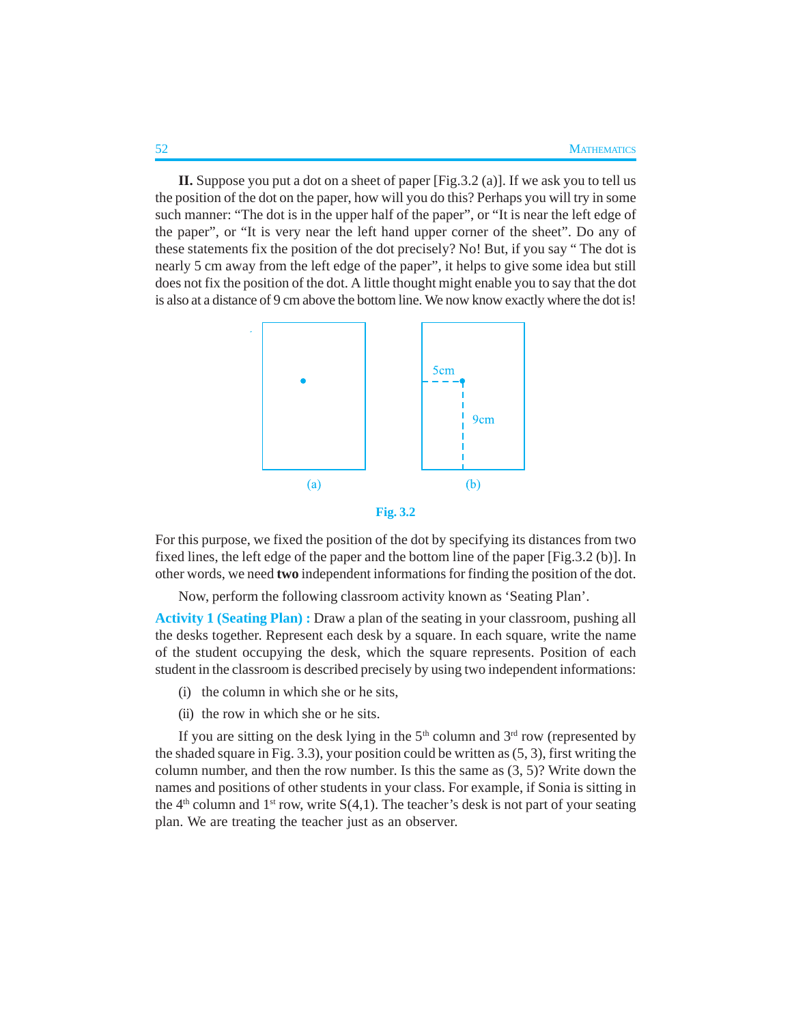**II.** Suppose you put a dot on a sheet of paper [Fig.3.2 (a)]. If we ask you to tell us the position of the dot on the paper, how will you do this? Perhaps you will try in some such manner: "The dot is in the upper half of the paper", or "It is near the left edge of the paper", or "It is very near the left hand upper corner of the sheet". Do any of these statements fix the position of the dot precisely? No! But, if you say " The dot is nearly 5 cm away from the left edge of the paper", it helps to give some idea but still does not fix the position of the dot. A little thought might enable you to say that the dot is also at a distance of 9 cm above the bottom line. We now know exactly where the dot is!



**Fig. 3.2**

For this purpose, we fixed the position of the dot by specifying its distances from two fixed lines, the left edge of the paper and the bottom line of the paper [Fig.3.2 (b)]. In other words, we need **two** independent informations for finding the position of the dot.

Now, perform the following classroom activity known as 'Seating Plan'.

**Activity 1 (Seating Plan) :** Draw a plan of the seating in your classroom, pushing all the desks together. Represent each desk by a square. In each square, write the name of the student occupying the desk, which the square represents. Position of each student in the classroom is described precisely by using two independent informations:

- (i) the column in which she or he sits,
- (ii) the row in which she or he sits.

If you are sitting on the desk lying in the  $5<sup>th</sup>$  column and  $3<sup>rd</sup>$  row (represented by the shaded square in Fig. 3.3), your position could be written as (5, 3), first writing the column number, and then the row number. Is this the same as  $(3, 5)$ ? Write down the names and positions of other students in your class. For example, if Sonia is sitting in the  $4<sup>th</sup>$  column and  $1<sup>st</sup>$  row, write  $S(4,1)$ . The teacher's desk is not part of your seating plan. We are treating the teacher just as an observer.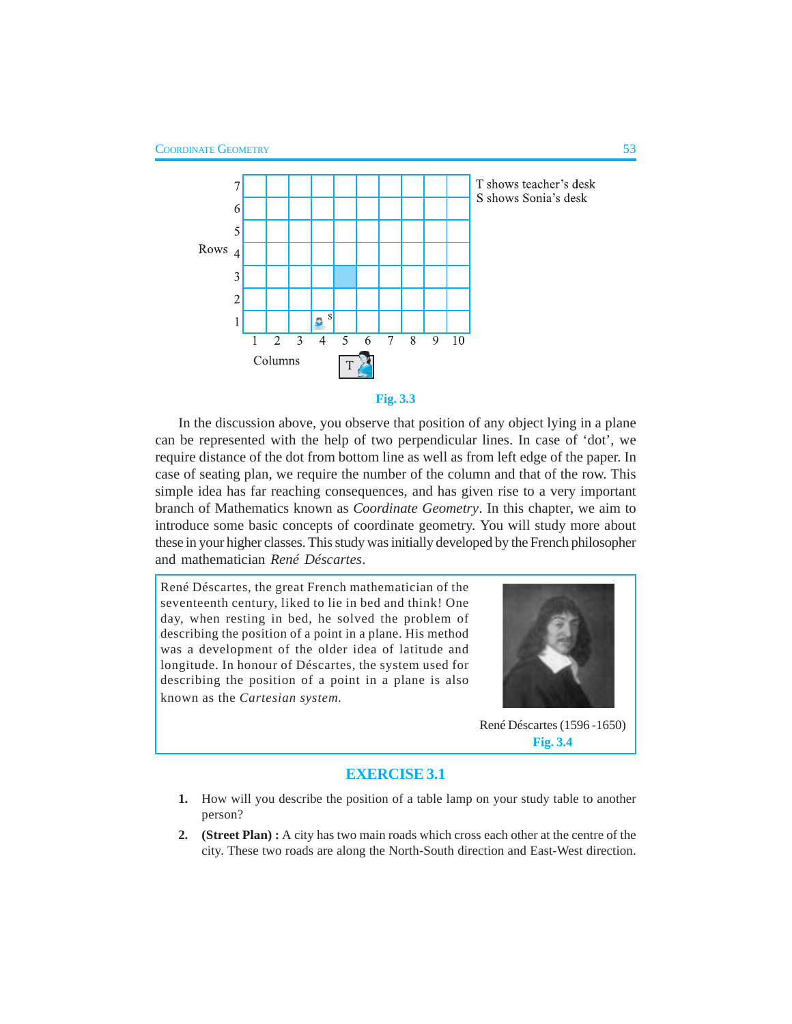



In the discussion above, you observe that position of any object lying in a plane can be represented with the help of two perpendicular lines. In case of 'dot', we require distance of the dot from bottom line as well as from left edge of the paper. In case of seating plan, we require the number of the column and that of the row. This simple idea has far reaching consequences, and has given rise to a very important branch of Mathematics known as *Coordinate Geometry*. In this chapter, we aim to introduce some basic concepts of coordinate geometry. You will study more about these in your higher classes. This study was initially developed by the French philosopher and mathematician *René Déscartes*.

René Déscartes, the great French mathematician of the seventeenth century, liked to lie in bed and think! One day, when resting in bed, he solved the problem of describing the position of a point in a plane. His method was a development of the older idea of latitude and longitude. In honour of Déscartes, the system used for describing the position of a point in a plane is also known as the *Cartesian system.*



René Déscartes (1596 -1650) **Fig. 3.4**

#### **EXERCISE 3.1**

- **1.** How will you describe the position of a table lamp on your study table to another person?
- **2. (Street Plan) :** A city has two main roads which cross each other at the centre of the city. These two roads are along the North-South direction and East-West direction.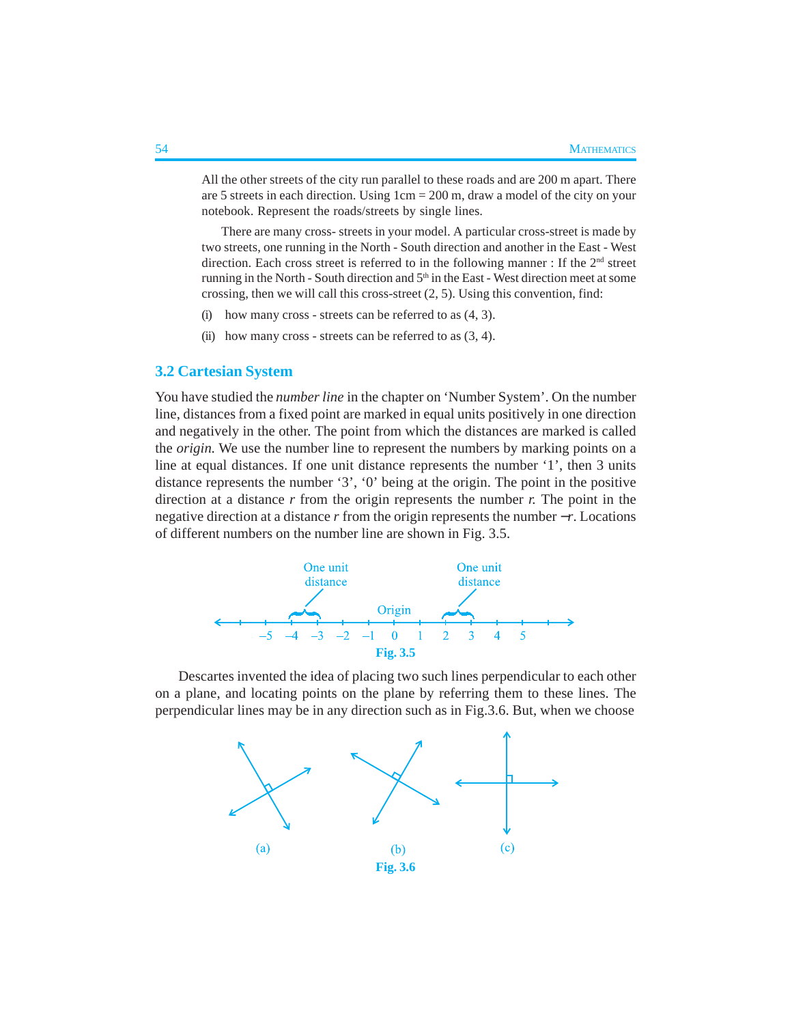All the other streets of the city run parallel to these roads and are 200 m apart. There are 5 streets in each direction. Using 1cm = 200 m, draw a model of the city on your notebook. Represent the roads/streets by single lines.

There are many cross- streets in your model. A particular cross-street is made by two streets, one running in the North - South direction and another in the East - West direction. Each cross street is referred to in the following manner : If the  $2<sup>nd</sup>$  street running in the North - South direction and  $5<sup>th</sup>$  in the East - West direction meet at some crossing, then we will call this cross-street (2, 5). Using this convention, find:

- (i) how many cross streets can be referred to as  $(4, 3)$ .
- (ii) how many cross streets can be referred to as  $(3, 4)$ .

## **3.2 Cartesian System**

You have studied the *number line* in the chapter on 'Number System'. On the number line, distances from a fixed point are marked in equal units positively in one direction and negatively in the other. The point from which the distances are marked is called the *origin*. We use the number line to represent the numbers by marking points on a line at equal distances. If one unit distance represents the number '1', then 3 units distance represents the number '3', '0' being at the origin. The point in the positive direction at a distance *r* from the origin represents the number *r.* The point in the negative direction at a distance *r* from the origin represents the number −*r*. Locations of different numbers on the number line are shown in Fig. 3.5.



Descartes invented the idea of placing two such lines perpendicular to each other on a plane, and locating points on the plane by referring them to these lines. The perpendicular lines may be in any direction such as in Fig.3.6. But, when we choose

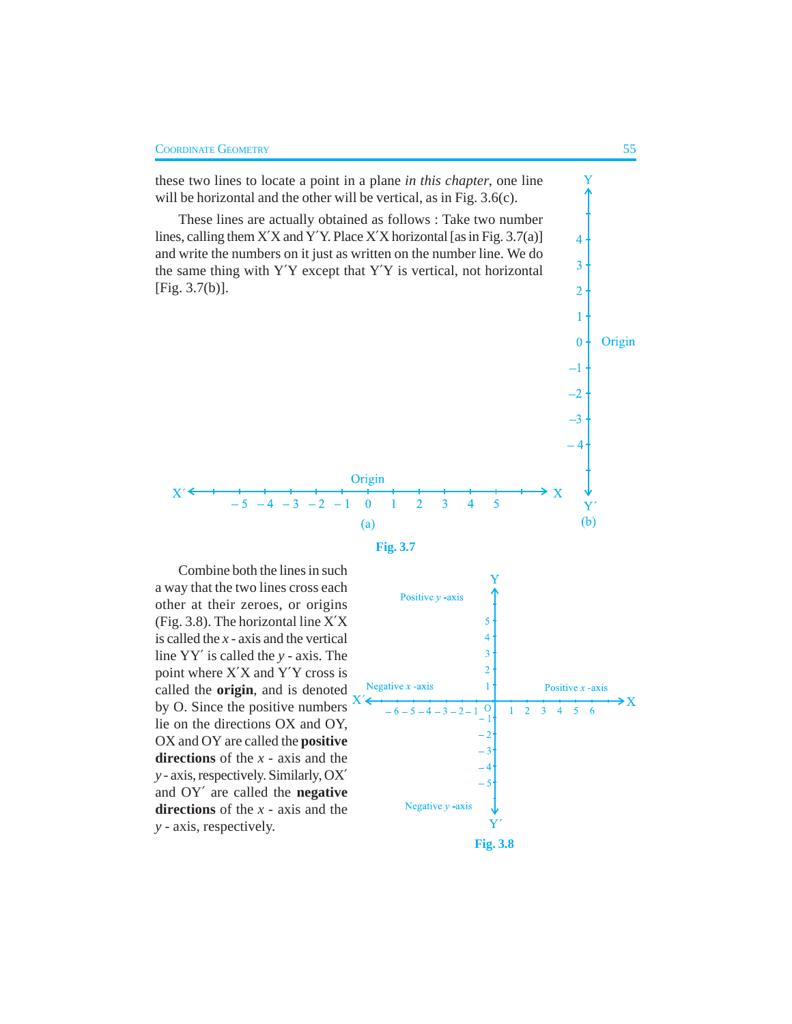



Combine both the lines in such a way that the two lines cross each other at their zeroes, or origins (Fig. 3.8). The horizontal line X′X is called the *x* - axis and the vertical line YY′ is called the *y* - axis. The point where X′X and Y′Y cross is called the **origin**, and is denoted by O. Since the positive numbers lie on the directions OX and OY, OX and OY are called the **positive directions** of the *x -* axis and the *y -* axis, respectively. Similarly, OX′ and OY′ are called the **negative directions** of the *x -* axis and the *y -* axis, respectively.

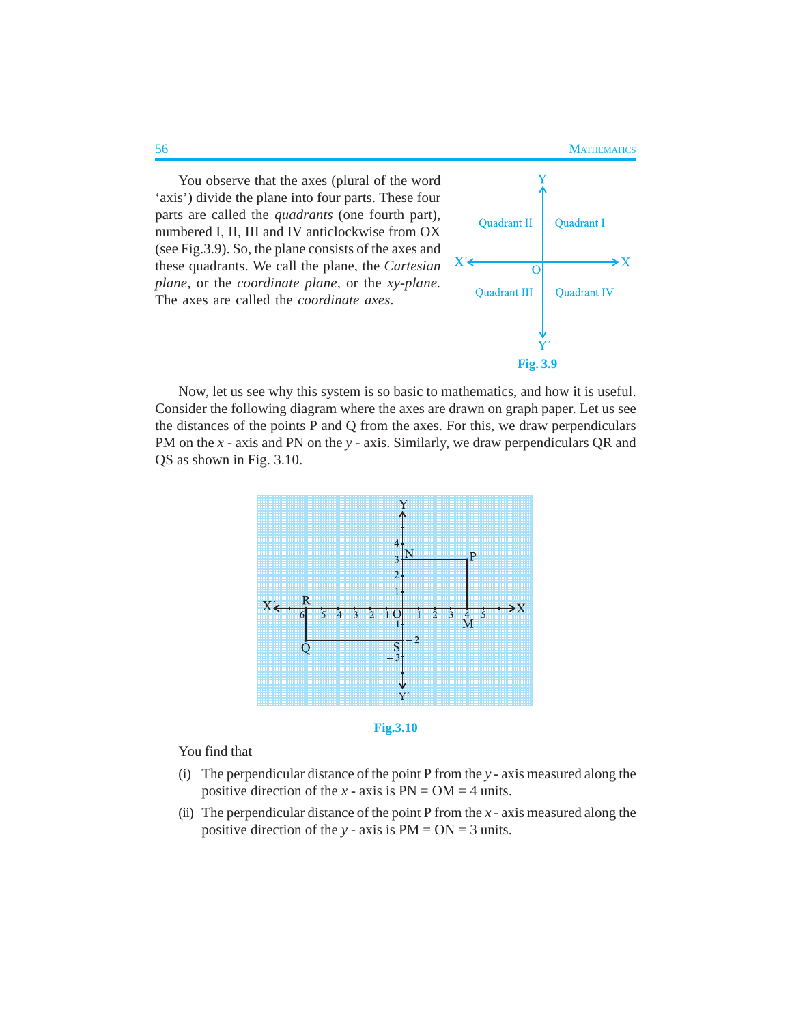You observe that the axes (plural of the word 'axis') divide the plane into four parts. These four parts are called the *quadrants* (one fourth part), numbered I, II, III and IV anticlockwise from OX (see Fig.3.9). So, the plane consists of the axes and these quadrants. We call the plane, the *Cartesian plane,* or the *coordinate plane,* or the *xy-plane.* The axes are called the *coordinate axes*.



Now, let us see why this system is so basic to mathematics, and how it is useful. Consider the following diagram where the axes are drawn on graph paper. Let us see the distances of the points P and Q from the axes. For this, we draw perpendiculars PM on the *x* - axis and PN on the *y* - axis. Similarly, we draw perpendiculars QR and QS as shown in Fig. 3.10.





You find that

- (i) The perpendicular distance of the point P from the *y* axis measured along the positive direction of the  $x - axis$  is  $PN = OM = 4$  units.
- (ii) The perpendicular distance of the point P from the  $x a$  axis measured along the positive direction of the *y* - axis is PM = ON = 3 units.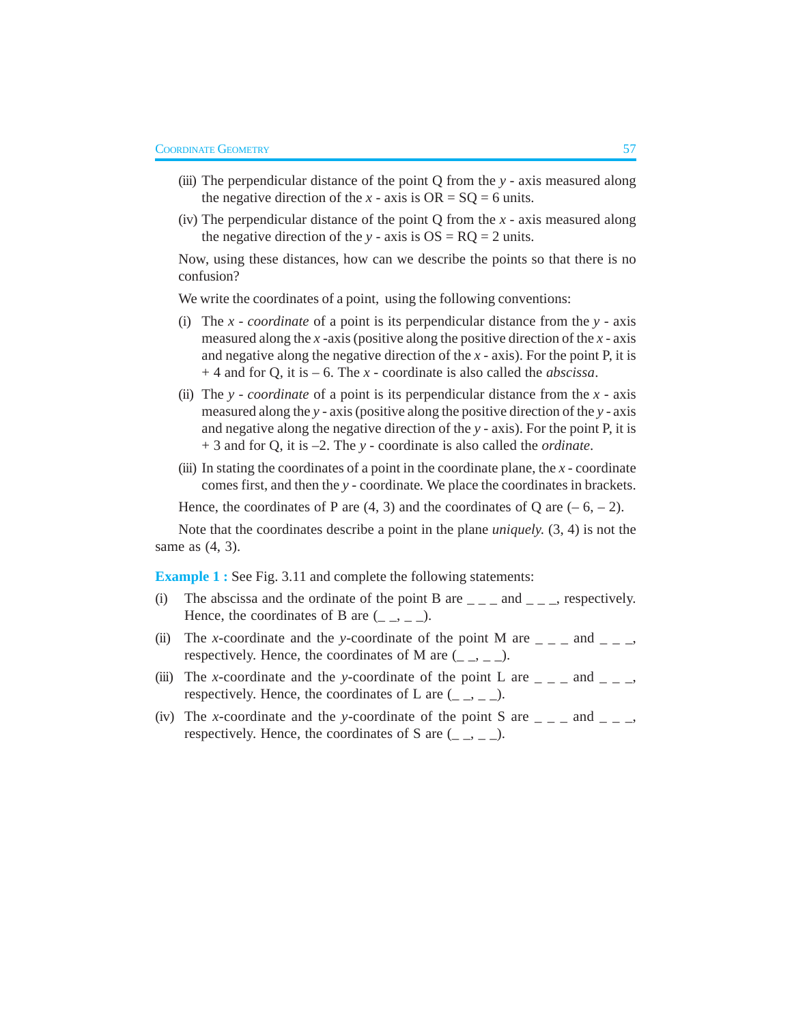- (iii) The perpendicular distance of the point Q from the *y* axis measured along the negative direction of the *x* - axis is  $OR = SQ = 6$  units.
- (iv) The perpendicular distance of the point Q from the *x* axis measured along the negative direction of the *y* - axis is  $OS = RQ = 2$  units.

Now, using these distances, how can we describe the points so that there is no confusion?

We write the coordinates of a point, using the following conventions:

- (i) The *x coordinate* of a point is its perpendicular distance from the *y* axis measured along the *x* -axis (positive along the positive direction of the *x -* axis and negative along the negative direction of the *x -* axis). For the point P, it is + 4 and for Q, it is – 6. The *x* - coordinate is also called the *abscissa*.
- (ii) The *y coordinate* of a point is its perpendicular distance from the *x* axis measured along the *y* - axis (positive along the positive direction of the *y -* axis and negative along the negative direction of the *y -* axis). For the point P, it is + 3 and for Q, it is –2. The *y* - coordinate is also called the *ordinate*.
- (iii) In stating the coordinates of a point in the coordinate plane, the *x* coordinate comes first, and then the *y* - coordinate*.* We place the coordinates in brackets.

Hence, the coordinates of P are  $(4, 3)$  and the coordinates of Q are  $(-6, -2)$ .

Note that the coordinates describe a point in the plane *uniquely.* (3, 4) is not the same as (4, 3).

**Example 1 :** See Fig. 3.11 and complete the following statements:

- (i) The abscissa and the ordinate of the point B are  $\angle$   $\angle$   $\angle$  and  $\angle$   $\angle$   $\angle$ , respectively. Hence, the coordinates of B are  $(\_ \_, \_ \_).$
- (ii) The *x*-coordinate and the *y*-coordinate of the point M are  $\angle$   $\angle$   $\angle$  and  $\angle$   $\angle$   $\angle$   $\angle$ respectively. Hence, the coordinates of M are  $(\_ \, \_ \, \_ \_ \_ \,$ .
- (iii) The *x*-coordinate and the *y*-coordinate of the point L are  $\angle$   $\angle$   $\angle$  and  $\angle$   $\angle$   $\angle$   $\angle$ respectively. Hence, the coordinates of L are  $($ <sub>-</sub> $,$   $)$ - $)$ .
- (iv) The *x*-coordinate and the *y*-coordinate of the point S are  $\angle$   $\angle$   $\angle$  and  $\angle$   $\angle$   $\angle$   $\angle$ respectively. Hence, the coordinates of S are  $(\_ \, \_ \, \_ \_ \_ \_ \_$ .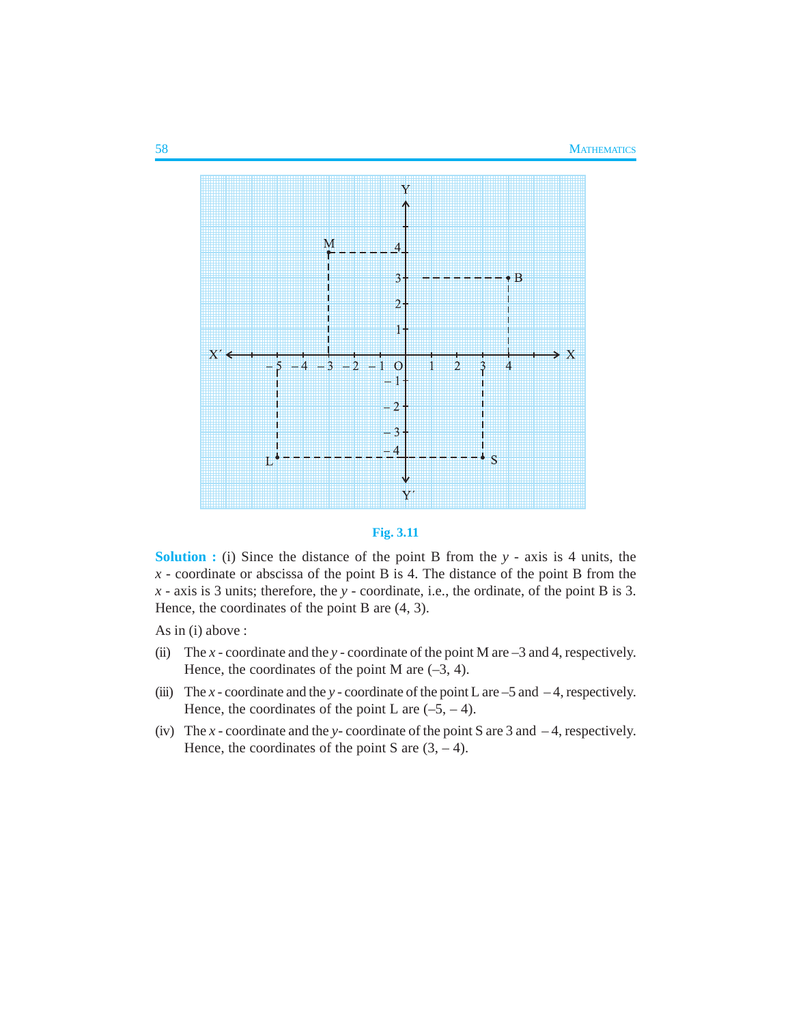



**Solution :** (i) Since the distance of the point B from the *y* - axis is 4 units, the *x* - coordinate or abscissa of the point B is 4. The distance of the point B from the *x* - axis is 3 units; therefore, the *y* - coordinate, i.e., the ordinate, of the point B is 3. Hence, the coordinates of the point B are (4, 3).

As in (i) above :

- (ii) The *x*  coordinate and the *y*  coordinate of the point M are –3 and 4, respectively. Hence, the coordinates of the point M are  $(-3, 4)$ .
- (iii) The *x* coordinate and the *y* coordinate of the point L are  $-5$  and  $-4$ , respectively. Hence, the coordinates of the point L are  $(-5, -4)$ .
- (iv) The *x*  coordinate and the *y* coordinate of the point S are 3 and 4, respectively. Hence, the coordinates of the point S are  $(3, -4)$ .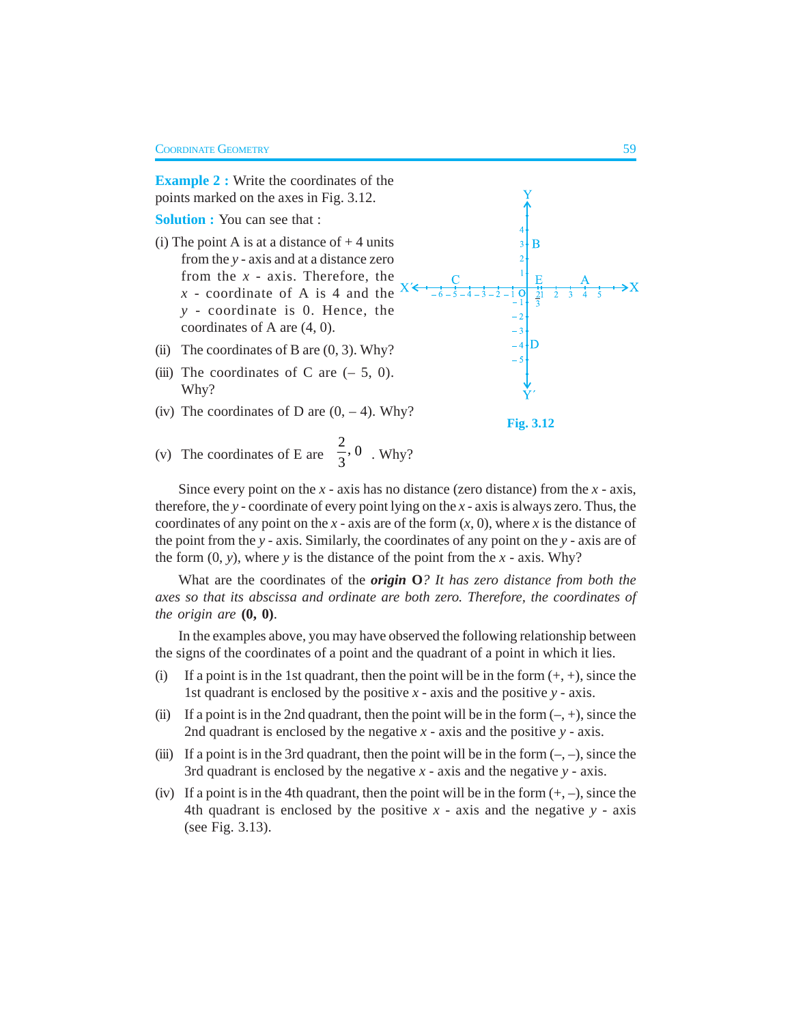

Since every point on the *x* - axis has no distance (zero distance) from the *x* - axis, therefore, the *y* - coordinate of every point lying on the *x* - axis is always zero. Thus, the coordinates of any point on the  $x$  - axis are of the form  $(x, 0)$ , where  $x$  is the distance of the point from the *y* - axis. Similarly, the coordinates of any point on the *y* - axis are of the form  $(0, y)$ , where *y* is the distance of the point from the *x* - axis. Why?

What are the coordinates of the *origin* **O***? It has zero distance from both the axes so that its abscissa and ordinate are both zero. Therefore, the coordinates of the origin are* **(0, 0)**.

In the examples above, you may have observed the following relationship between the signs of the coordinates of a point and the quadrant of a point in which it lies.

- (i) If a point is in the 1st quadrant, then the point will be in the form  $(+, +)$ , since the 1st quadrant is enclosed by the positive *x* - axis and the positive *y* - axis.
- (ii) If a point is in the 2nd quadrant, then the point will be in the form  $(-, +)$ , since the 2nd quadrant is enclosed by the negative  $x - x$  axis and the positive  $y - x$  axis.
- (iii) If a point is in the 3rd quadrant, then the point will be in the form  $(-, -)$ , since the 3rd quadrant is enclosed by the negative *x* - axis and the negative *y* - axis.
- (iv) If a point is in the 4th quadrant, then the point will be in the form  $(+, -)$ , since the 4th quadrant is enclosed by the positive  $x - a$ xis and the negative  $y - a$ xis (see Fig. 3.13).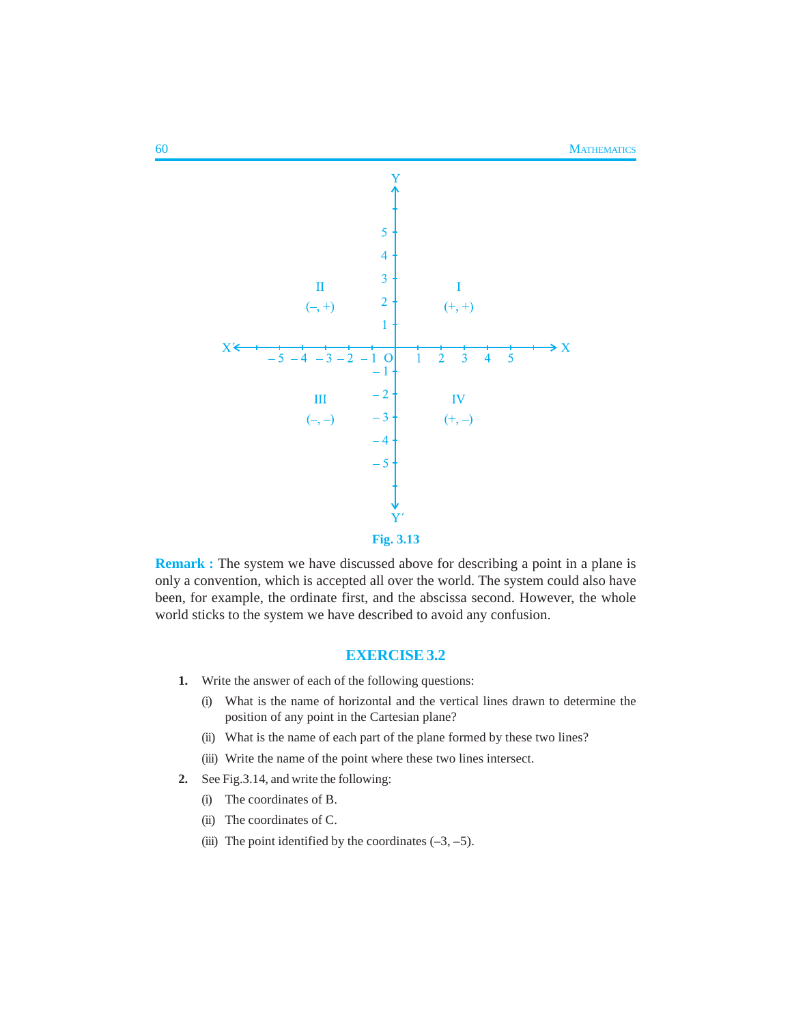

**Remark :** The system we have discussed above for describing a point in a plane is only a convention, which is accepted all over the world. The system could also have been, for example, the ordinate first, and the abscissa second. However, the whole world sticks to the system we have described to avoid any confusion.

### **EXERCISE 3.2**

- **1.** Write the answer of each of the following questions:
	- (i) What is the name of horizontal and the vertical lines drawn to determine the position of any point in the Cartesian plane?
	- (ii) What is the name of each part of the plane formed by these two lines?
	- (iii) Write the name of the point where these two lines intersect.
- **2.** See Fig.3.14, and write the following:
	- (i) The coordinates of B.
	- (ii) The coordinates of C.
	- (iii) The point identified by the coordinates  $(-3, -5)$ .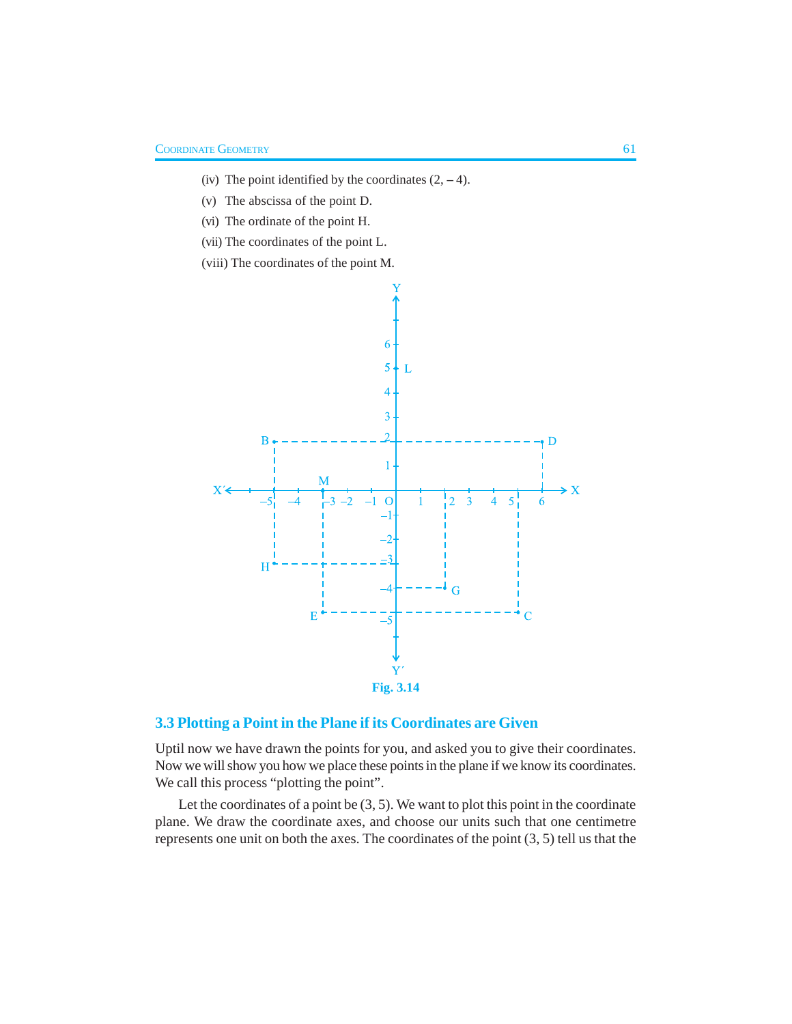- (iv) The point identified by the coordinates  $(2, -4)$ .
- (v) The abscissa of the point D.
- (vi) The ordinate of the point H.
- (vii) The coordinates of the point L.
- (viii) The coordinates of the point M.



## **3.3 Plotting a Point in the Plane if its Coordinates are Given**

Uptil now we have drawn the points for you, and asked you to give their coordinates. Now we will show you how we place these points in the plane if we know its coordinates. We call this process "plotting the point".

Let the coordinates of a point be  $(3, 5)$ . We want to plot this point in the coordinate plane. We draw the coordinate axes, and choose our units such that one centimetre represents one unit on both the axes. The coordinates of the point (3, 5) tell us that the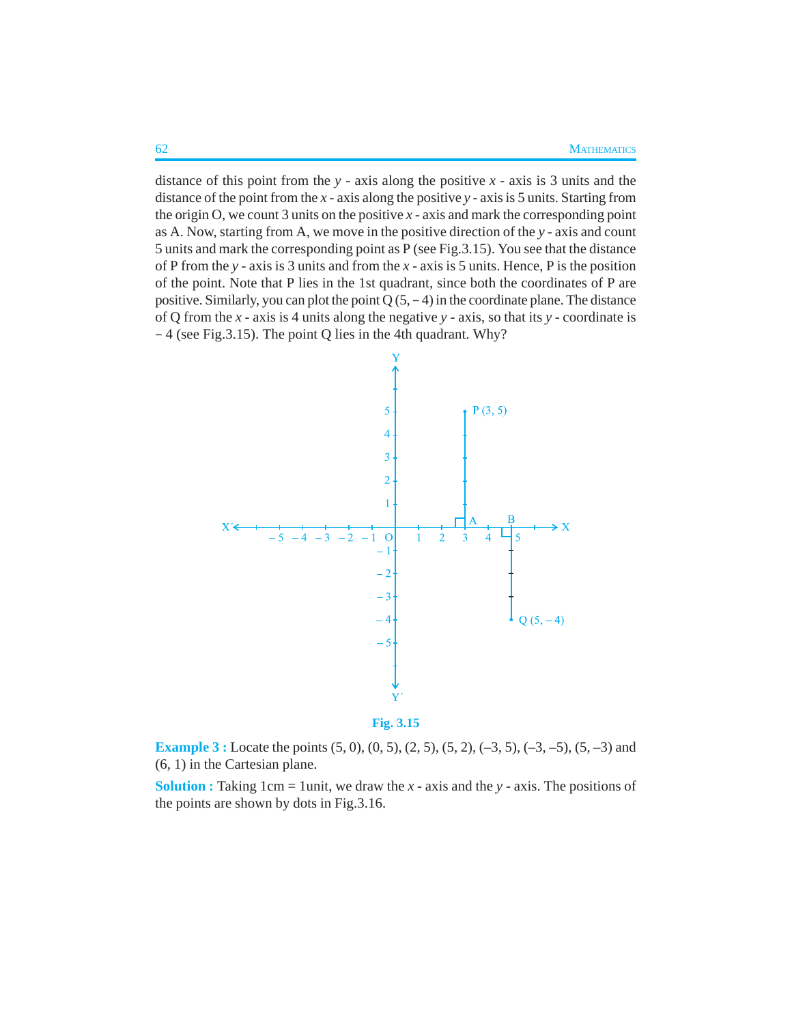distance of this point from the *y* - axis along the positive *x* - axis is 3 units and the distance of the point from the *x* - axis along the positive *y* - axis is 5 units. Starting from the origin O, we count 3 units on the positive  $x - a$ xis and mark the corresponding point as A. Now, starting from A, we move in the positive direction of the *y* - axis and count 5 units and mark the corresponding point as P (see Fig.3.15). You see that the distance of P from the *y* - axis is 3 units and from the *x* - axis is 5 units. Hence, P is the position of the point. Note that P lies in the 1st quadrant, since both the coordinates of P are positive. Similarly, you can plot the point  $Q(5, -4)$  in the coordinate plane. The distance of Q from the *x* - axis is 4 units along the negative *y* - axis, so that its *y* - coordinate is – 4 (see Fig.3.15). The point Q lies in the 4th quadrant. Why?





**Example 3 :** Locate the points (5, 0), (0, 5), (2, 5), (5, 2), (-3, 5), (-3, -5), (5, -3) and (6, 1) in the Cartesian plane.

**Solution :** Taking 1cm = 1unit, we draw the  $x$  - axis and the  $y$  - axis. The positions of the points are shown by dots in Fig.3.16.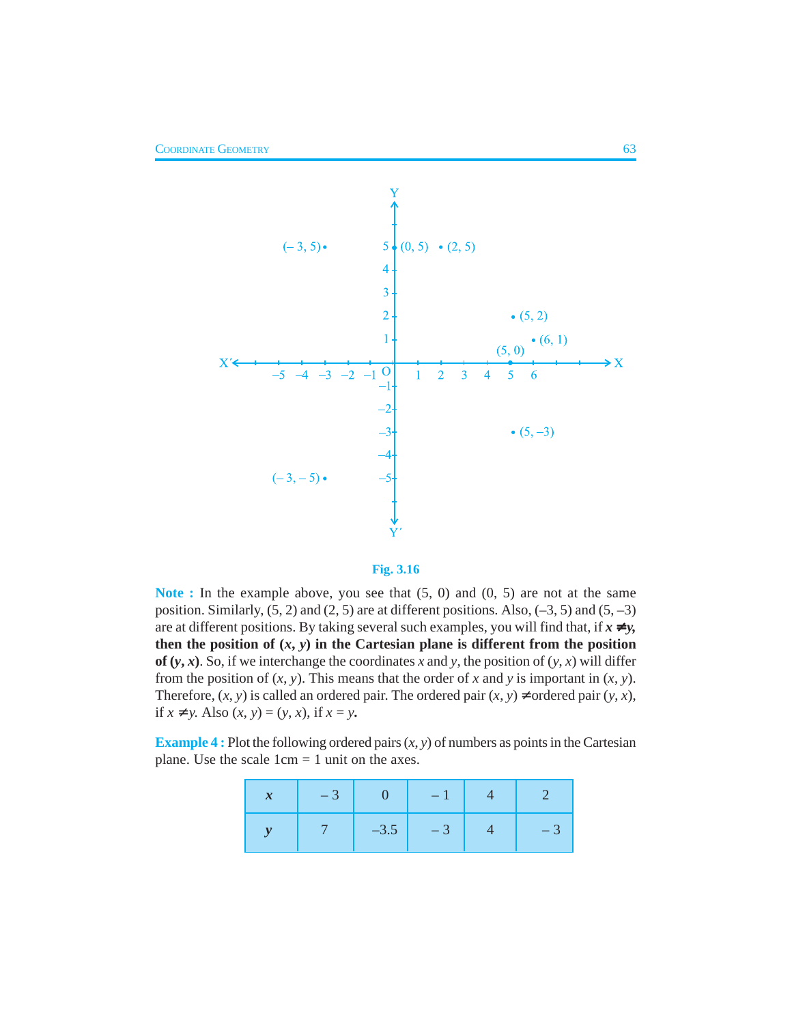



**Note :** In the example above, you see that (5, 0) and (0, 5) are not at the same position. Similarly,  $(5, 2)$  and  $(2, 5)$  are at different positions. Also,  $(-3, 5)$  and  $(5, -3)$ are at different positions. By taking several such examples, you will find that, if  $x \neq y$ , then the position of  $(x, y)$  in the Cartesian plane is different from the position **of**  $(y, x)$ . So, if we interchange the coordinates *x* and *y*, the position of  $(y, x)$  will differ from the position of  $(x, y)$ . This means that the order of x and y is important in  $(x, y)$ . Therefore,  $(x, y)$  is called an ordered pair. The ordered pair  $(x, y) \neq$  ordered pair  $(y, x)$ , if *x* ≠ *y*. Also  $(x, y) = (y, x)$ , if  $x = y$ .

**Example 4 :** Plot the following ordered pairs  $(x, y)$  of numbers as points in the Cartesian plane. Use the scale  $1 \text{cm} = 1$  unit on the axes.

| $-3$ | $\begin{array}{c c} \hline \textbf{1} & 0 \end{array}$ | $-1$        |  |
|------|--------------------------------------------------------|-------------|--|
|      |                                                        | $-3.5$ $-3$ |  |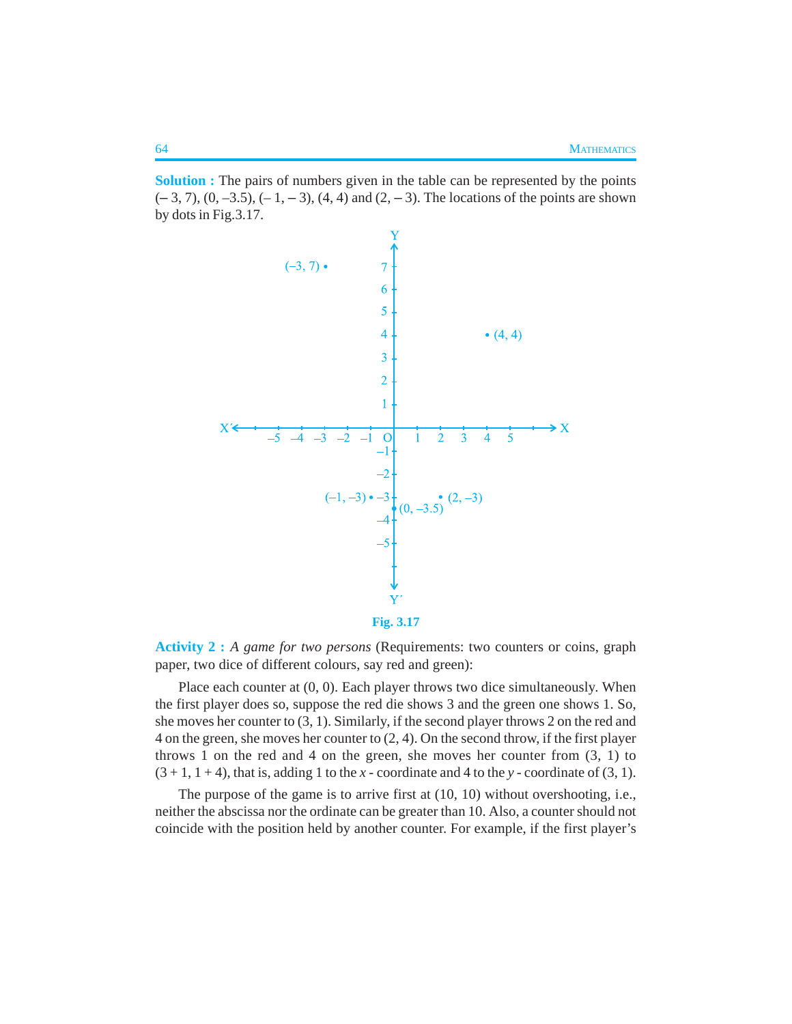**Solution :** The pairs of numbers given in the table can be represented by the points  $(-3, 7)$ ,  $(0, -3.5)$ ,  $(-1, -3)$ ,  $(4, 4)$  and  $(2, -3)$ . The locations of the points are shown by dots in Fig.3.17.



**Fig. 3.17**

**Activity 2 :** *A game for two persons* (Requirements: two counters or coins, graph paper, two dice of different colours, say red and green):

Place each counter at  $(0, 0)$ . Each player throws two dice simultaneously. When the first player does so, suppose the red die shows 3 and the green one shows 1. So, she moves her counter to (3, 1). Similarly, if the second player throws 2 on the red and 4 on the green, she moves her counter to (2, 4). On the second throw, if the first player throws 1 on the red and 4 on the green, she moves her counter from  $(3, 1)$  to  $(3 + 1, 1 + 4)$ , that is, adding 1 to the *x* - coordinate and 4 to the *y* - coordinate of (3, 1).

The purpose of the game is to arrive first at (10, 10) without overshooting, i.e., neither the abscissa nor the ordinate can be greater than 10. Also, a counter should not coincide with the position held by another counter. For example, if the first player's